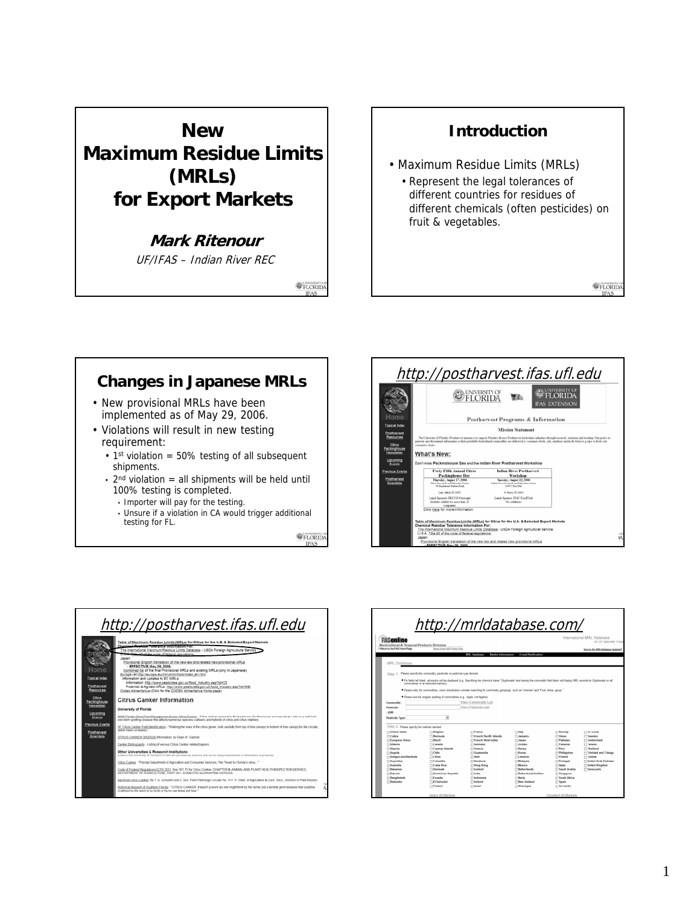## **New Maximum Residue Limits (MRLs) for Export Markets**

## **Mark Ritenour**

UF/IFAS – Indian River REC

**E** FLORIDA

## **Introduction**

- Maximum Residue Limits (MRLs)
	- Represent the legal tolerances of different countries for residues of different chemicals (often pesticides) on fruit & vegetables.

<sup>O</sup>FLORID

## **Changes in Japanese MRLs**

- New provisional MRLs have been implemented as of May 29, 2006.
- Violations will result in new testing requirement:
	- $\cdot$  1st violation = 50% testing of all subsequent shipments.
	- $\cdot$  2<sup>nd</sup> violation = all shipments will be held until 100% testing is completed.
		- Importer will pay for the testing.
		- Unsure if a violation in CA would trigger additional testing for FL.

**OFLORID**